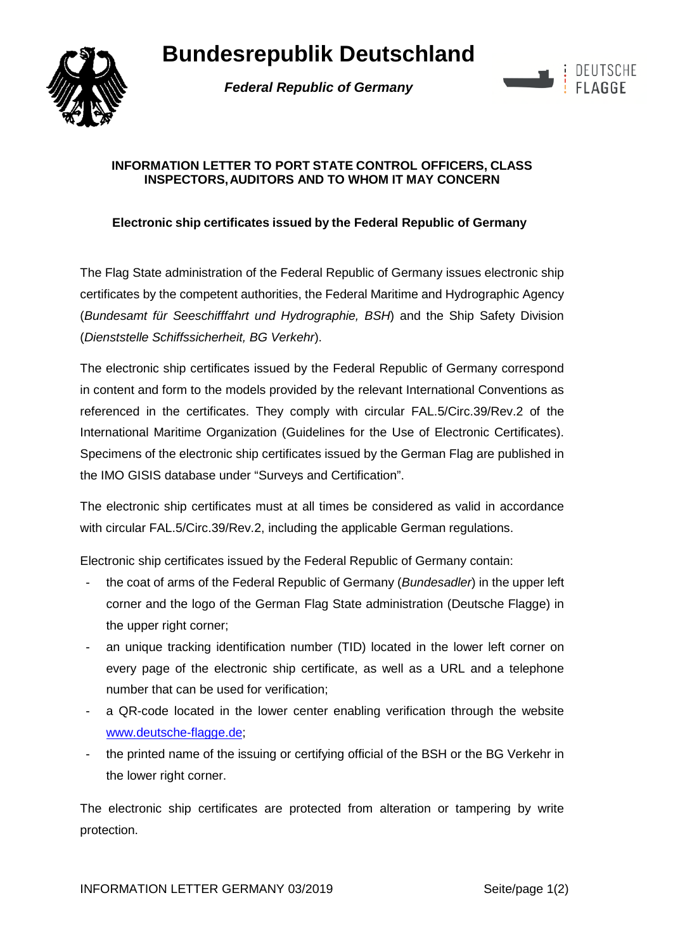# **Bundesrepublik Deutschland**



*Federal Republic of Germany* 



#### **INFORMATION LETTER TO PORT STATE CONTROL OFFICERS, CLASS INSPECTORS, AUDITORS AND TO WHOM IT MAY CONCERN**

### **Electronic ship certificates issued by the Federal Republic of Germany**

The Flag State administration of the Federal Republic of Germany issues electronic ship certificates by the competent authorities, the Federal Maritime and Hydrographic Agency (*Bundesamt für Seeschifffahrt und Hydrographie, BSH*) and the Ship Safety Division (*Dienststelle Schiffssicherheit, BG Verkehr*).

The electronic ship certificates issued by the Federal Republic of Germany correspond in content and form to the models provided by the relevant International Conventions as referenced in the certificates. They comply with circular FAL.5/Circ.39/Rev.2 of the International Maritime Organization (Guidelines for the Use of Electronic Certificates). Specimens of the electronic ship certificates issued by the German Flag are published in the IMO GISIS database under "Surveys and Certification".

The electronic ship certificates must at all times be considered as valid in accordance with circular FAL.5/Circ.39/Rev.2, including the applicable German regulations.

Electronic ship certificates issued by the Federal Republic of Germany contain:

- the coat of arms of the Federal Republic of Germany (*Bundesadler*) in the upper left corner and the logo of the German Flag State administration (Deutsche Flagge) in the upper right corner;
- an unique tracking identification number (TID) located in the lower left corner on every page of the electronic ship certificate, as well as a URL and a telephone number that can be used for verification;
- a QR-code located in the lower center enabling verification through the website [www.deutsche-flagge.de;](http://www.deutsche-flagge.de/)
- the printed name of the issuing or certifying official of the BSH or the BG Verkehr in the lower right corner.

The electronic ship certificates are protected from alteration or tampering by write protection.